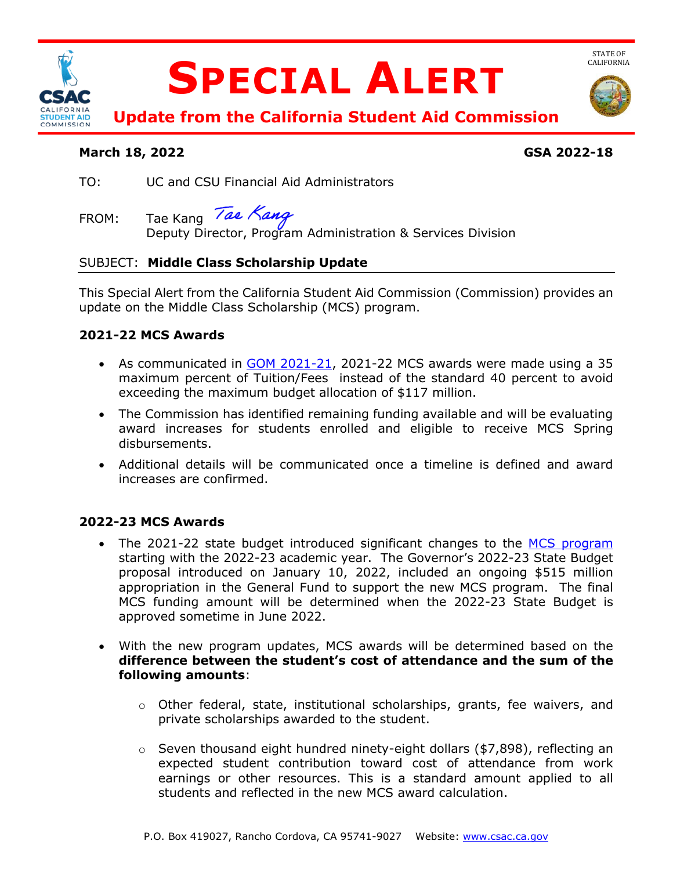

# **SPECIAL ALERT**



STATE OF<br>CALIFORNIA

**Update from the California Student Aid Commission** 

#### **March 18, 2022 GSA 2022-18**

- TO: UC and CSU Financial Aid Administrators
- Tae Kang Tae Kang FROM: Tae Kang *Tae Nang*<br>Deputy Director, Program Administration & Services Division

# SUBJECT: **Middle Class Scholarship Update**

 This Special Alert from the California Student Aid Commission (Commission) provides an update on the Middle Class Scholarship (MCS) program.

# **2021-22 MCS Awards**

- As communicated in **GOM 2021-21**, 2021-22 MCS awards were made using a 35 maximum percent of Tuition/Fees instead of the standard 40 percent to avoid exceeding the maximum budget allocation of \$117 million.
- award increases for students enrolled and eligible to receive MCS Spring • The Commission has identified remaining funding available and will be evaluating disbursements.
- • Additional details will be communicated once a timeline is defined and award increases are confirmed.

# **2022-23 MCS Awards**

- starting with the 2022-23 academic year. The Governor's 2022-23 State Budget proposal introduced on January 10, 2022, included an ongoing \$515 million appropriation in the General Fund to support the new MCS program. The final approved sometime in June 2022. • The 2021-22 state budget introduced significant changes to the MCS program MCS funding amount will be determined when the 2022-23 State Budget is
- **difference between the student's cost of attendance and the sum of the**  • With the new program updates, MCS awards will be determined based on the **following amounts**:
	- o Other federal, state, institutional scholarships, grants, fee waivers, and private scholarships awarded to the student.
	- $\circ$  Seven thousand eight hundred ninety-eight dollars (\$7,898), reflecting an expected student contribution toward cost of attendance from work earnings or other resources. This is a standard amount applied to all students and reflected in the new MCS award calculation.